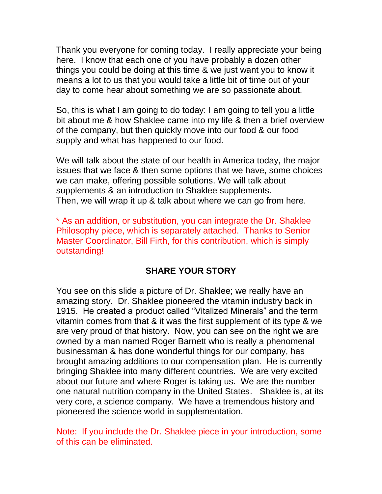Thank you everyone for coming today. I really appreciate your being here. I know that each one of you have probably a dozen other things you could be doing at this time & we just want you to know it means a lot to us that you would take a little bit of time out of your day to come hear about something we are so passionate about.

So, this is what I am going to do today: I am going to tell you a little bit about me & how Shaklee came into my life & then a brief overview of the company, but then quickly move into our food & our food supply and what has happened to our food.

We will talk about the state of our health in America today, the major issues that we face & then some options that we have, some choices we can make, offering possible solutions. We will talk about supplements & an introduction to Shaklee supplements. Then, we will wrap it up & talk about where we can go from here.

\* As an addition, or substitution, you can integrate the Dr. Shaklee Philosophy piece, which is separately attached. Thanks to Senior Master Coordinator, Bill Firth, for this contribution, which is simply outstanding!

# **SHARE YOUR STORY**

You see on this slide a picture of Dr. Shaklee; we really have an amazing story. Dr. Shaklee pioneered the vitamin industry back in 1915. He created a product called "Vitalized Minerals" and the term vitamin comes from that & it was the first supplement of its type & we are very proud of that history. Now, you can see on the right we are owned by a man named Roger Barnett who is really a phenomenal businessman & has done wonderful things for our company, has brought amazing additions to our compensation plan. He is currently bringing Shaklee into many different countries. We are very excited about our future and where Roger is taking us. We are the number one natural nutrition company in the United States. Shaklee is, at its very core, a science company. We have a tremendous history and pioneered the science world in supplementation.

Note: If you include the Dr. Shaklee piece in your introduction, some of this can be eliminated.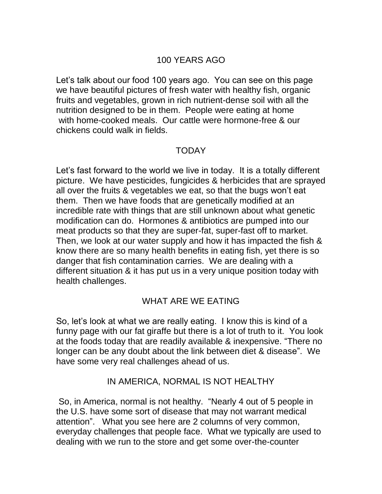## 100 YEARS AGO

Let's talk about our food 100 years ago. You can see on this page we have beautiful pictures of fresh water with healthy fish, organic fruits and vegetables, grown in rich nutrient-dense soil with all the nutrition designed to be in them. People were eating at home with home-cooked meals. Our cattle were hormone-free & our chickens could walk in fields.

#### TODAY

Let's fast forward to the world we live in today. It is a totally different picture. We have pesticides, fungicides & herbicides that are sprayed all over the fruits & vegetables we eat, so that the bugs won't eat them. Then we have foods that are genetically modified at an incredible rate with things that are still unknown about what genetic modification can do. Hormones & antibiotics are pumped into our meat products so that they are super-fat, super-fast off to market. Then, we look at our water supply and how it has impacted the fish & know there are so many health benefits in eating fish, yet there is so danger that fish contamination carries. We are dealing with a different situation & it has put us in a very unique position today with health challenges.

# WHAT ARE WE EATING

So, let's look at what we are really eating. I know this is kind of a funny page with our fat giraffe but there is a lot of truth to it. You look at the foods today that are readily available & inexpensive. "There no longer can be any doubt about the link between diet & disease". We have some very real challenges ahead of us.

### IN AMERICA, NORMAL IS NOT HEALTHY

So, in America, normal is not healthy. "Nearly 4 out of 5 people in the U.S. have some sort of disease that may not warrant medical attention". What you see here are 2 columns of very common, everyday challenges that people face. What we typically are used to dealing with we run to the store and get some over-the-counter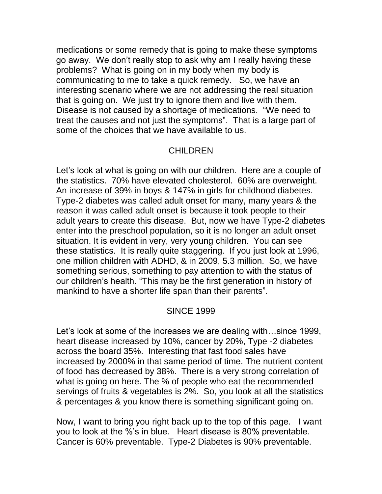medications or some remedy that is going to make these symptoms go away. We don't really stop to ask why am I really having these problems? What is going on in my body when my body is communicating to me to take a quick remedy. So, we have an interesting scenario where we are not addressing the real situation that is going on. We just try to ignore them and live with them. Disease is not caused by a shortage of medications. "We need to treat the causes and not just the symptoms". That is a large part of some of the choices that we have available to us.

### CHILDREN

Let's look at what is going on with our children. Here are a couple of the statistics. 70% have elevated cholesterol. 60% are overweight. An increase of 39% in boys & 147% in girls for childhood diabetes. Type-2 diabetes was called adult onset for many, many years & the reason it was called adult onset is because it took people to their adult years to create this disease. But, now we have Type-2 diabetes enter into the preschool population, so it is no longer an adult onset situation. It is evident in very, very young children. You can see these statistics. It is really quite staggering. If you just look at 1996, one million children with ADHD, & in 2009, 5.3 million. So, we have something serious, something to pay attention to with the status of our children's health. "This may be the first generation in history of mankind to have a shorter life span than their parents".

### SINCE 1999

Let's look at some of the increases we are dealing with…since 1999, heart disease increased by 10%, cancer by 20%, Type -2 diabetes across the board 35%. Interesting that fast food sales have increased by 2000% in that same period of time. The nutrient content of food has decreased by 38%. There is a very strong correlation of what is going on here. The % of people who eat the recommended servings of fruits & vegetables is 2%. So, you look at all the statistics & percentages & you know there is something significant going on.

Now, I want to bring you right back up to the top of this page. I want you to look at the %'s in blue. Heart disease is 80% preventable. Cancer is 60% preventable. Type-2 Diabetes is 90% preventable.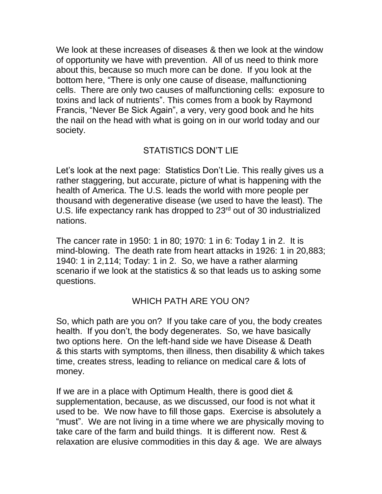We look at these increases of diseases & then we look at the window of opportunity we have with prevention. All of us need to think more about this, because so much more can be done. If you look at the bottom here, "There is only one cause of disease, malfunctioning cells. There are only two causes of malfunctioning cells: exposure to toxins and lack of nutrients". This comes from a book by Raymond Francis, "Never Be Sick Again", a very, very good book and he hits the nail on the head with what is going on in our world today and our society.

# STATISTICS DON'T LIE

Let's look at the next page: Statistics Don't Lie. This really gives us a rather staggering, but accurate, picture of what is happening with the health of America. The U.S. leads the world with more people per thousand with degenerative disease (we used to have the least). The U.S. life expectancy rank has dropped to 23<sup>rd</sup> out of 30 industrialized nations.

The cancer rate in 1950: 1 in 80; 1970: 1 in 6: Today 1 in 2. It is mind-blowing. The death rate from heart attacks in 1926: 1 in 20,883; 1940: 1 in 2,114; Today: 1 in 2. So, we have a rather alarming scenario if we look at the statistics & so that leads us to asking some questions.

# WHICH PATH ARE YOU ON?

So, which path are you on? If you take care of you, the body creates health. If you don't, the body degenerates. So, we have basically two options here. On the left-hand side we have Disease & Death & this starts with symptoms, then illness, then disability & which takes time, creates stress, leading to reliance on medical care & lots of money.

If we are in a place with Optimum Health, there is good diet & supplementation, because, as we discussed, our food is not what it used to be. We now have to fill those gaps. Exercise is absolutely a "must". We are not living in a time where we are physically moving to take care of the farm and build things. It is different now. Rest & relaxation are elusive commodities in this day & age. We are always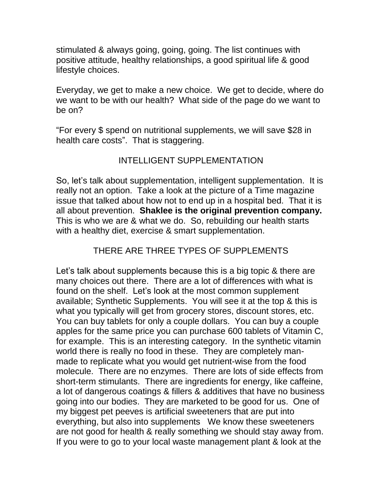stimulated & always going, going, going. The list continues with positive attitude, healthy relationships, a good spiritual life & good lifestyle choices.

Everyday, we get to make a new choice. We get to decide, where do we want to be with our health? What side of the page do we want to be on?

"For every \$ spend on nutritional supplements, we will save \$28 in health care costs". That is staggering.

# INTELLIGENT SUPPLEMENTATION

So, let's talk about supplementation, intelligent supplementation. It is really not an option. Take a look at the picture of a Time magazine issue that talked about how not to end up in a hospital bed. That it is all about prevention. **Shaklee is the original prevention company.** This is who we are & what we do. So, rebuilding our health starts with a healthy diet, exercise & smart supplementation.

# THERE ARE THREE TYPES OF SUPPLEMENTS

Let's talk about supplements because this is a big topic & there are many choices out there. There are a lot of differences with what is found on the shelf. Let's look at the most common supplement available; Synthetic Supplements. You will see it at the top & this is what you typically will get from grocery stores, discount stores, etc. You can buy tablets for only a couple dollars. You can buy a couple apples for the same price you can purchase 600 tablets of Vitamin C, for example. This is an interesting category. In the synthetic vitamin world there is really no food in these. They are completely manmade to replicate what you would get nutrient-wise from the food molecule. There are no enzymes. There are lots of side effects from short-term stimulants. There are ingredients for energy, like caffeine, a lot of dangerous coatings & fillers & additives that have no business going into our bodies. They are marketed to be good for us. One of my biggest pet peeves is artificial sweeteners that are put into everything, but also into supplements We know these sweeteners are not good for health & really something we should stay away from. If you were to go to your local waste management plant & look at the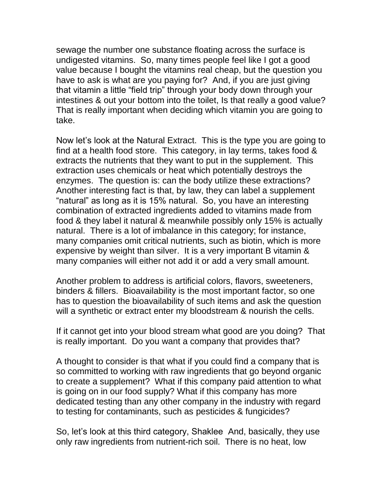sewage the number one substance floating across the surface is undigested vitamins. So, many times people feel like I got a good value because I bought the vitamins real cheap, but the question you have to ask is what are you paying for? And, if you are just giving that vitamin a little "field trip" through your body down through your intestines & out your bottom into the toilet, Is that really a good value? That is really important when deciding which vitamin you are going to take.

Now let's look at the Natural Extract. This is the type you are going to find at a health food store. This category, in lay terms, takes food & extracts the nutrients that they want to put in the supplement. This extraction uses chemicals or heat which potentially destroys the enzymes. The question is: can the body utilize these extractions? Another interesting fact is that, by law, they can label a supplement "natural" as long as it is 15% natural. So, you have an interesting combination of extracted ingredients added to vitamins made from food & they label it natural & meanwhile possibly only 15% is actually natural. There is a lot of imbalance in this category; for instance, many companies omit critical nutrients, such as biotin, which is more expensive by weight than silver. It is a very important B vitamin & many companies will either not add it or add a very small amount.

Another problem to address is artificial colors, flavors, sweeteners, binders & fillers. Bioavailability is the most important factor, so one has to question the bioavailability of such items and ask the question will a synthetic or extract enter my bloodstream & nourish the cells.

If it cannot get into your blood stream what good are you doing? That is really important. Do you want a company that provides that?

A thought to consider is that what if you could find a company that is so committed to working with raw ingredients that go beyond organic to create a supplement? What if this company paid attention to what is going on in our food supply? What if this company has more dedicated testing than any other company in the industry with regard to testing for contaminants, such as pesticides & fungicides?

So, let's look at this third category, Shaklee And, basically, they use only raw ingredients from nutrient-rich soil. There is no heat, low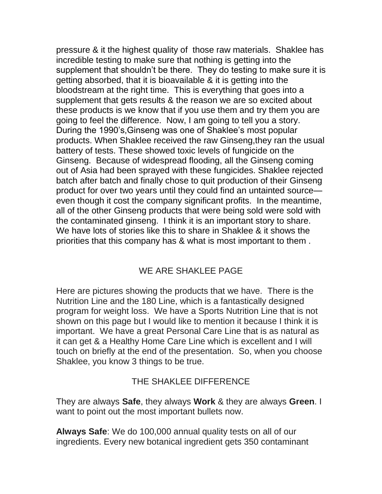pressure & it the highest quality of those raw materials. Shaklee has incredible testing to make sure that nothing is getting into the supplement that shouldn't be there. They do testing to make sure it is getting absorbed, that it is bioavailable & it is getting into the bloodstream at the right time. This is everything that goes into a supplement that gets results & the reason we are so excited about these products is we know that if you use them and try them you are going to feel the difference. Now, I am going to tell you a story. During the 1990's,Ginseng was one of Shaklee's most popular products. When Shaklee received the raw Ginseng,they ran the usual battery of tests. These showed toxic levels of fungicide on the Ginseng. Because of widespread flooding, all the Ginseng coming out of Asia had been sprayed with these fungicides. Shaklee rejected batch after batch and finally chose to quit production of their Ginseng product for over two years until they could find an untainted source even though it cost the company significant profits. In the meantime, all of the other Ginseng products that were being sold were sold with the contaminated ginseng. I think it is an important story to share. We have lots of stories like this to share in Shaklee & it shows the priorities that this company has & what is most important to them .

# WE ARE SHAKLEE PAGE

Here are pictures showing the products that we have. There is the Nutrition Line and the 180 Line, which is a fantastically designed program for weight loss. We have a Sports Nutrition Line that is not shown on this page but I would like to mention it because I think it is important. We have a great Personal Care Line that is as natural as it can get & a Healthy Home Care Line which is excellent and I will touch on briefly at the end of the presentation. So, when you choose Shaklee, you know 3 things to be true.

# THE SHAKLEE DIFFERENCE

They are always **Safe**, they always **Work** & they are always **Green**. I want to point out the most important bullets now.

**Always Safe**: We do 100,000 annual quality tests on all of our ingredients. Every new botanical ingredient gets 350 contaminant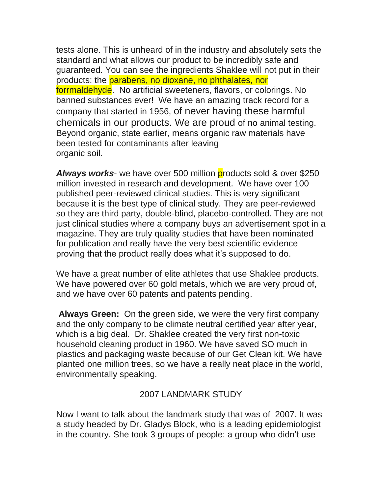tests alone. This is unheard of in the industry and absolutely sets the standard and what allows our product to be incredibly safe and guaranteed. You can see the ingredients Shaklee will not put in their products: the parabens, no dioxane, no phthalates, nor forrmaldehyde. No artificial sweeteners, flavors, or colorings. No banned substances ever! We have an amazing track record for a company that started in 1956, of never having these harmful chemicals in our products. We are proud of no animal testing. Beyond organic, state earlier, means organic raw materials have been tested for contaminants after leaving organic soil.

Always works- we have over 500 million products sold & over \$250 million invested in research and development. We have over 100 published peer-reviewed clinical studies. This is very significant because it is the best type of clinical study. They are peer-reviewed so they are third party, double-blind, placebo-controlled. They are not just clinical studies where a company buys an advertisement spot in a magazine. They are truly quality studies that have been nominated for publication and really have the very best scientific evidence proving that the product really does what it's supposed to do.

We have a great number of elite athletes that use Shaklee products. We have powered over 60 gold metals, which we are very proud of, and we have over 60 patents and patents pending.

**Always Green:** On the green side, we were the very first company and the only company to be climate neutral certified year after year, which is a big deal. Dr. Shaklee created the very first non-toxic household cleaning product in 1960. We have saved SO much in plastics and packaging waste because of our Get Clean kit. We have planted one million trees, so we have a really neat place in the world, environmentally speaking.

# 2007 LANDMARK STUDY

Now I want to talk about the landmark study that was of 2007. It was a study headed by Dr. Gladys Block, who is a leading epidemiologist in the country. She took 3 groups of people: a group who didn't use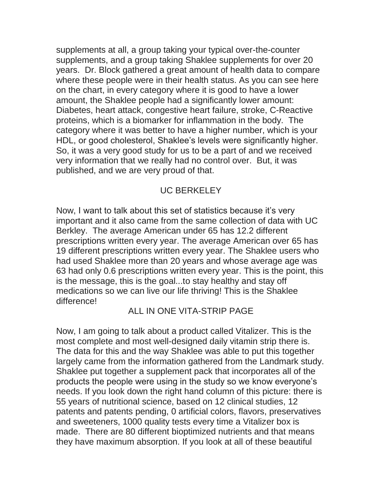supplements at all, a group taking your typical over-the-counter supplements, and a group taking Shaklee supplements for over 20 years. Dr. Block gathered a great amount of health data to compare where these people were in their health status. As you can see here on the chart, in every category where it is good to have a lower amount, the Shaklee people had a significantly lower amount: Diabetes, heart attack, congestive heart failure, stroke, C-Reactive proteins, which is a biomarker for inflammation in the body. The category where it was better to have a higher number, which is your HDL, or good cholesterol, Shaklee's levels were significantly higher. So, it was a very good study for us to be a part of and we received very information that we really had no control over. But, it was published, and we are very proud of that.

## UC BERKELEY

Now, I want to talk about this set of statistics because it's very important and it also came from the same collection of data with UC Berkley. The average American under 65 has 12.2 different prescriptions written every year. The average American over 65 has 19 different prescriptions written every year. The Shaklee users who had used Shaklee more than 20 years and whose average age was 63 had only 0.6 prescriptions written every year. This is the point, this is the message, this is the goal...to stay healthy and stay off medications so we can live our life thriving! This is the Shaklee difference!

### ALL IN ONE VITA-STRIP PAGE

Now, I am going to talk about a product called Vitalizer. This is the most complete and most well-designed daily vitamin strip there is. The data for this and the way Shaklee was able to put this together largely came from the information gathered from the Landmark study. Shaklee put together a supplement pack that incorporates all of the products the people were using in the study so we know everyone's needs. If you look down the right hand column of this picture: there is 55 years of nutritional science, based on 12 clinical studies, 12 patents and patents pending, 0 artificial colors, flavors, preservatives and sweeteners, 1000 quality tests every time a Vitalizer box is made. There are 80 different bioptimized nutrients and that means they have maximum absorption. If you look at all of these beautiful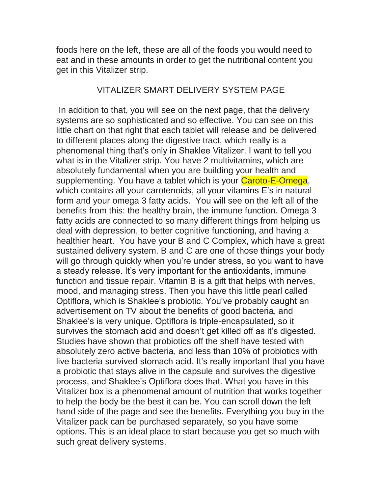foods here on the left, these are all of the foods you would need to eat and in these amounts in order to get the nutritional content you get in this Vitalizer strip.

### VITALIZER SMART DELIVERY SYSTEM PAGE

In addition to that, you will see on the next page, that the delivery systems are so sophisticated and so effective. You can see on this little chart on that right that each tablet will release and be delivered to different places along the digestive tract, which really is a phenomenal thing that's only in Shaklee Vitalizer. I want to tell you what is in the Vitalizer strip. You have 2 multivitamins, which are absolutely fundamental when you are building your health and supplementing. You have a tablet which is your Caroto-E-Omega, which contains all your carotenoids, all your vitamins E's in natural form and your omega 3 fatty acids. You will see on the left all of the benefits from this: the healthy brain, the immune function. Omega 3 fatty acids are connected to so many different things from helping us deal with depression, to better cognitive functioning, and having a healthier heart. You have your B and C Complex, which have a great sustained delivery system. B and C are one of those things your body will go through quickly when you're under stress, so you want to have a steady release. It's very important for the antioxidants, immune function and tissue repair. Vitamin B is a gift that helps with nerves, mood, and managing stress. Then you have this little pearl called Optiflora, which is Shaklee's probiotic. You've probably caught an advertisement on TV about the benefits of good bacteria, and Shaklee's is very unique. Optiflora is triple-encapsulated, so it survives the stomach acid and doesn't get killed off as it's digested. Studies have shown that probiotics off the shelf have tested with absolutely zero active bacteria, and less than 10% of probiotics with live bacteria survived stomach acid. It's really important that you have a probiotic that stays alive in the capsule and survives the digestive process, and Shaklee's Optiflora does that. What you have in this Vitalizer box is a phenomenal amount of nutrition that works together to help the body be the best it can be. You can scroll down the left hand side of the page and see the benefits. Everything you buy in the Vitalizer pack can be purchased separately, so you have some options. This is an ideal place to start because you get so much with such great delivery systems.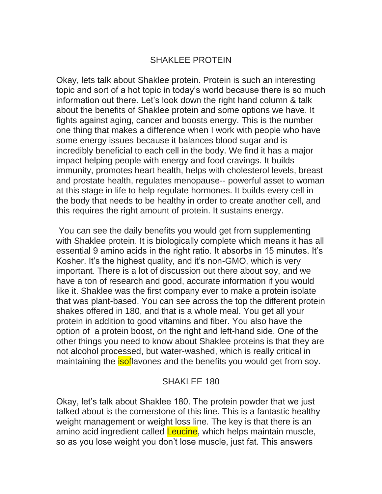#### SHAKLEE PROTEIN

Okay, lets talk about Shaklee protein. Protein is such an interesting topic and sort of a hot topic in today's world because there is so much information out there. Let's look down the right hand column & talk about the benefits of Shaklee protein and some options we have. It fights against aging, cancer and boosts energy. This is the number one thing that makes a difference when I work with people who have some energy issues because it balances blood sugar and is incredibly beneficial to each cell in the body. We find it has a major impact helping people with energy and food cravings. It builds immunity, promotes heart health, helps with cholesterol levels, breast and prostate health, regulates menopause-- powerful asset to woman at this stage in life to help regulate hormones. It builds every cell in the body that needs to be healthy in order to create another cell, and this requires the right amount of protein. It sustains energy.

You can see the daily benefits you would get from supplementing with Shaklee protein. It is biologically complete which means it has all essential 9 amino acids in the right ratio. It absorbs in 15 minutes. It's Kosher. It's the highest quality, and it's non-GMO, which is very important. There is a lot of discussion out there about soy, and we have a ton of research and good, accurate information if you would like it. Shaklee was the first company ever to make a protein isolate that was plant-based. You can see across the top the different protein shakes offered in 180, and that is a whole meal. You get all your protein in addition to good vitamins and fiber. You also have the option of a protein boost, on the right and left-hand side. One of the other things you need to know about Shaklee proteins is that they are not alcohol processed, but water-washed, which is really critical in maintaining the **isof** avones and the benefits you would get from soy.

### SHAKLEE 180

Okay, let's talk about Shaklee 180. The protein powder that we just talked about is the cornerstone of this line. This is a fantastic healthy weight management or weight loss line. The key is that there is an amino acid ingredient called Leucine, which helps maintain muscle, so as you lose weight you don't lose muscle, just fat. This answers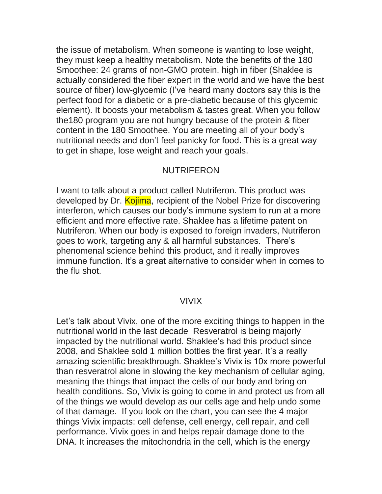the issue of metabolism. When someone is wanting to lose weight, they must keep a healthy metabolism. Note the benefits of the 180 Smoothee: 24 grams of non-GMO protein, high in fiber (Shaklee is actually considered the fiber expert in the world and we have the best source of fiber) low-glycemic (I've heard many doctors say this is the perfect food for a diabetic or a pre-diabetic because of this glycemic element). It boosts your metabolism & tastes great. When you follow the180 program you are not hungry because of the protein & fiber content in the 180 Smoothee. You are meeting all of your body's nutritional needs and don't feel panicky for food. This is a great way to get in shape, lose weight and reach your goals.

#### **NUTRIFERON**

I want to talk about a product called Nutriferon. This product was developed by Dr. Kojima, recipient of the Nobel Prize for discovering interferon, which causes our body's immune system to run at a more efficient and more effective rate. Shaklee has a lifetime patent on Nutriferon. When our body is exposed to foreign invaders, Nutriferon goes to work, targeting any & all harmful substances. There's phenomenal science behind this product, and it really improves immune function. It's a great alternative to consider when in comes to the flu shot.

#### VIVIX

Let's talk about Vivix, one of the more exciting things to happen in the nutritional world in the last decade Resveratrol is being majorly impacted by the nutritional world. Shaklee's had this product since 2008, and Shaklee sold 1 million bottles the first year. It's a really amazing scientific breakthrough. Shaklee's Vivix is 10x more powerful than resveratrol alone in slowing the key mechanism of cellular aging, meaning the things that impact the cells of our body and bring on health conditions. So, Vivix is going to come in and protect us from all of the things we would develop as our cells age and help undo some of that damage. If you look on the chart, you can see the 4 major things Vivix impacts: cell defense, cell energy, cell repair, and cell performance. Vivix goes in and helps repair damage done to the DNA. It increases the mitochondria in the cell, which is the energy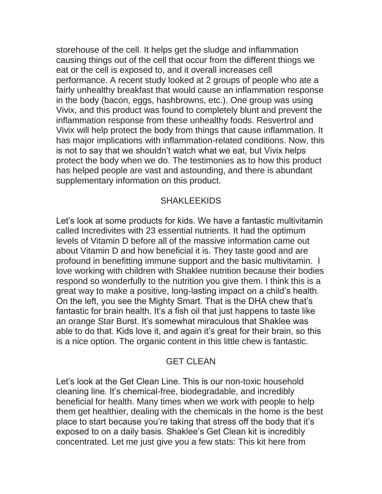storehouse of the cell. It helps get the sludge and inflammation causing things out of the cell that occur from the different things we eat or the cell is exposed to, and it overall increases cell performance. A recent study looked at 2 groups of people who ate a fairly unhealthy breakfast that would cause an inflammation response in the body (bacon, eggs, hashbrowns, etc.). One group was using Vivix, and this product was found to completely blunt and prevent the inflammation response from these unhealthy foods. Resvertrol and Vivix will help protect the body from things that cause inflammation. It has major implications with inflammation-related conditions. Now, this is not to say that we shouldn't watch what we eat, but Vivix helps protect the body when we do. The testimonies as to how this product has helped people are vast and astounding, and there is abundant supplementary information on this product.

### **SHAKLEEKIDS**

Let's look at some products for kids. We have a fantastic multivitamin called Incredivites with 23 essential nutrients. It had the optimum levels of Vitamin D before all of the massive information came out about Vitamin D and how beneficial it is. They taste good and are profound in benefitting immune support and the basic multivitamin. I love working with children with Shaklee nutrition because their bodies respond so wonderfully to the nutrition you give them. I think this is a great way to make a positive, long-lasting impact on a child's health. On the left, you see the Mighty Smart. That is the DHA chew that's fantastic for brain health. It's a fish oil that just happens to taste like an orange Star Burst. It's somewhat miraculous that Shaklee was able to do that. Kids love it, and again it's great for their brain, so this is a nice option. The organic content in this little chew is fantastic.

# GET CLEAN

Let's look at the Get Clean Line. This is our non-toxic household cleaning line. It's chemical-free, biodegradable, and incredibly beneficial for health. Many times when we work with people to help them get healthier, dealing with the chemicals in the home is the best place to start because you're taking that stress off the body that it's exposed to on a daily basis. Shaklee's Get Clean kit is incredibly concentrated. Let me just give you a few stats: This kit here from